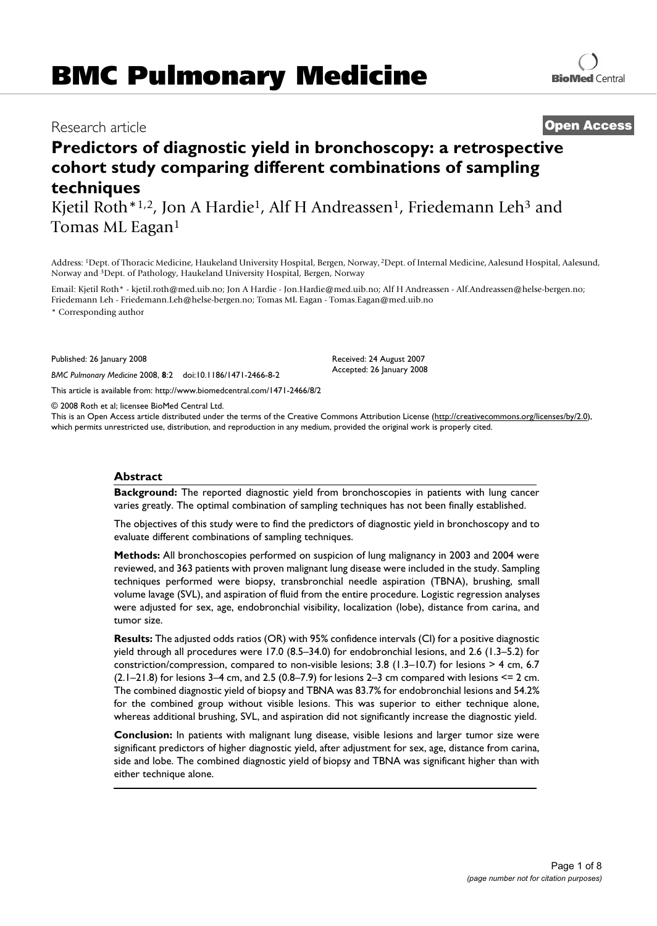# **BMC Pulmonary Medicine**

## Research article **Open Access**

## **Predictors of diagnostic yield in bronchoscopy: a retrospective cohort study comparing different combinations of sampling techniques**

Kjetil Roth<sup>\*1,2</sup>, Jon A Hardie<sup>1</sup>, Alf H Andreassen<sup>1</sup>, Friedemann Leh<sup>3</sup> and Tomas ML Eagan<sup>1</sup>

Address: 1Dept. of Thoracic Medicine, Haukeland University Hospital, Bergen, Norway, 2Dept. of Internal Medicine, Aalesund Hospital, Aalesund, Norway and 3Dept. of Pathology, Haukeland University Hospital, Bergen, Norway

Email: Kjetil Roth\* - kjetil.roth@med.uib.no; Jon A Hardie - Jon.Hardie@med.uib.no; Alf H Andreassen - Alf.Andreassen@helse-bergen.no; Friedemann Leh - Friedemann.Leh@helse-bergen.no; Tomas ML Eagan - Tomas.Eagan@med.uib.no

\* Corresponding author

Published: 26 January 2008

*BMC Pulmonary Medicine* 2008, **8**:2 doi:10.1186/1471-2466-8-2

This article is available from: http://www.biomedcentral.com/1471-2466/8/2

© 2008 Roth et al; licensee BioMed Central Ltd.

This is an Open Access article distributed under the terms of the Creative Commons Attribution License (http://creativecommons.org/licenses/by/2.0), which permits unrestricted use, distribution, and reproduction in any medium, provided the original work is properly cited.

Received: 24 August 2007 Accepted: 26 January 2008

#### **Abstract**

**Background:** The reported diagnostic yield from bronchoscopies in patients with lung cancer varies greatly. The optimal combination of sampling techniques has not been finally established.

The objectives of this study were to find the predictors of diagnostic yield in bronchoscopy and to evaluate different combinations of sampling techniques.

**Methods:** All bronchoscopies performed on suspicion of lung malignancy in 2003 and 2004 were reviewed, and 363 patients with proven malignant lung disease were included in the study. Sampling techniques performed were biopsy, transbronchial needle aspiration (TBNA), brushing, small volume lavage (SVL), and aspiration of fluid from the entire procedure. Logistic regression analyses were adjusted for sex, age, endobronchial visibility, localization (lobe), distance from carina, and tumor size.

**Results:** The adjusted odds ratios (OR) with 95% confidence intervals (CI) for a positive diagnostic yield through all procedures were 17.0 (8.5–34.0) for endobronchial lesions, and 2.6 (1.3–5.2) for constriction/compression, compared to non-visible lesions; 3.8 (1.3–10.7) for lesions > 4 cm, 6.7  $(2.1–21.8)$  for lesions 3–4 cm, and 2.5  $(0.8–7.9)$  for lesions 2–3 cm compared with lesions <= 2 cm. The combined diagnostic yield of biopsy and TBNA was 83.7% for endobronchial lesions and 54.2% for the combined group without visible lesions. This was superior to either technique alone, whereas additional brushing, SVL, and aspiration did not significantly increase the diagnostic yield.

**Conclusion:** In patients with malignant lung disease, visible lesions and larger tumor size were significant predictors of higher diagnostic yield, after adjustment for sex, age, distance from carina, side and lobe. The combined diagnostic yield of biopsy and TBNA was significant higher than with either technique alone.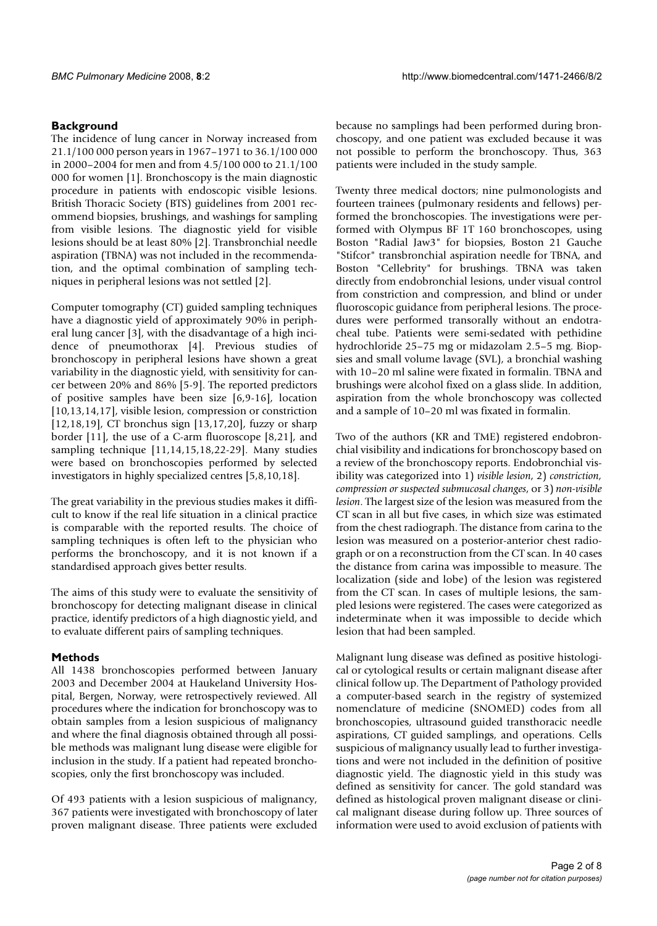### **Background**

The incidence of lung cancer in Norway increased from 21.1/100 000 person years in 1967–1971 to 36.1/100 000 in 2000–2004 for men and from 4.5/100 000 to 21.1/100 000 for women [1]. Bronchoscopy is the main diagnostic procedure in patients with endoscopic visible lesions. British Thoracic Society (BTS) guidelines from 2001 recommend biopsies, brushings, and washings for sampling from visible lesions. The diagnostic yield for visible lesions should be at least 80% [2]. Transbronchial needle aspiration (TBNA) was not included in the recommendation, and the optimal combination of sampling techniques in peripheral lesions was not settled [2].

Computer tomography (CT) guided sampling techniques have a diagnostic yield of approximately 90% in peripheral lung cancer [3], with the disadvantage of a high incidence of pneumothorax [4]. Previous studies of bronchoscopy in peripheral lesions have shown a great variability in the diagnostic yield, with sensitivity for cancer between 20% and 86% [5-9]. The reported predictors of positive samples have been size [6,9-16], location [10,13,14,17], visible lesion, compression or constriction [12,18,19], CT bronchus sign [13,17,20], fuzzy or sharp border [11], the use of a C-arm fluoroscope [8,21], and sampling technique [11,14,15,18,22-29]. Many studies were based on bronchoscopies performed by selected investigators in highly specialized centres [5,8,10,18].

The great variability in the previous studies makes it difficult to know if the real life situation in a clinical practice is comparable with the reported results. The choice of sampling techniques is often left to the physician who performs the bronchoscopy, and it is not known if a standardised approach gives better results.

The aims of this study were to evaluate the sensitivity of bronchoscopy for detecting malignant disease in clinical practice, identify predictors of a high diagnostic yield, and to evaluate different pairs of sampling techniques.

### **Methods**

All 1438 bronchoscopies performed between January 2003 and December 2004 at Haukeland University Hospital, Bergen, Norway, were retrospectively reviewed. All procedures where the indication for bronchoscopy was to obtain samples from a lesion suspicious of malignancy and where the final diagnosis obtained through all possible methods was malignant lung disease were eligible for inclusion in the study. If a patient had repeated bronchoscopies, only the first bronchoscopy was included.

Of 493 patients with a lesion suspicious of malignancy, 367 patients were investigated with bronchoscopy of later proven malignant disease. Three patients were excluded because no samplings had been performed during bronchoscopy, and one patient was excluded because it was not possible to perform the bronchoscopy. Thus, 363 patients were included in the study sample.

Twenty three medical doctors; nine pulmonologists and fourteen trainees (pulmonary residents and fellows) performed the bronchoscopies. The investigations were performed with Olympus BF 1T 160 bronchoscopes, using Boston "Radial Jaw3" for biopsies, Boston 21 Gauche "Stifcor" transbronchial aspiration needle for TBNA, and Boston "Cellebrity" for brushings. TBNA was taken directly from endobronchial lesions, under visual control from constriction and compression, and blind or under fluoroscopic guidance from peripheral lesions. The procedures were performed transorally without an endotracheal tube. Patients were semi-sedated with pethidine hydrochloride 25–75 mg or midazolam 2.5–5 mg. Biopsies and small volume lavage (SVL), a bronchial washing with 10–20 ml saline were fixated in formalin. TBNA and brushings were alcohol fixed on a glass slide. In addition, aspiration from the whole bronchoscopy was collected and a sample of 10–20 ml was fixated in formalin.

Two of the authors (KR and TME) registered endobronchial visibility and indications for bronchoscopy based on a review of the bronchoscopy reports. Endobronchial visibility was categorized into 1) *visible lesion*, 2) *constriction, compression or suspected submucosal changes*, or 3) *non-visible lesion*. The largest size of the lesion was measured from the CT scan in all but five cases, in which size was estimated from the chest radiograph. The distance from carina to the lesion was measured on a posterior-anterior chest radiograph or on a reconstruction from the CT scan. In 40 cases the distance from carina was impossible to measure. The localization (side and lobe) of the lesion was registered from the CT scan. In cases of multiple lesions, the sampled lesions were registered. The cases were categorized as indeterminate when it was impossible to decide which lesion that had been sampled.

Malignant lung disease was defined as positive histological or cytological results or certain malignant disease after clinical follow up. The Department of Pathology provided a computer-based search in the registry of systemized nomenclature of medicine (SNOMED) codes from all bronchoscopies, ultrasound guided transthoracic needle aspirations, CT guided samplings, and operations. Cells suspicious of malignancy usually lead to further investigations and were not included in the definition of positive diagnostic yield. The diagnostic yield in this study was defined as sensitivity for cancer. The gold standard was defined as histological proven malignant disease or clinical malignant disease during follow up. Three sources of information were used to avoid exclusion of patients with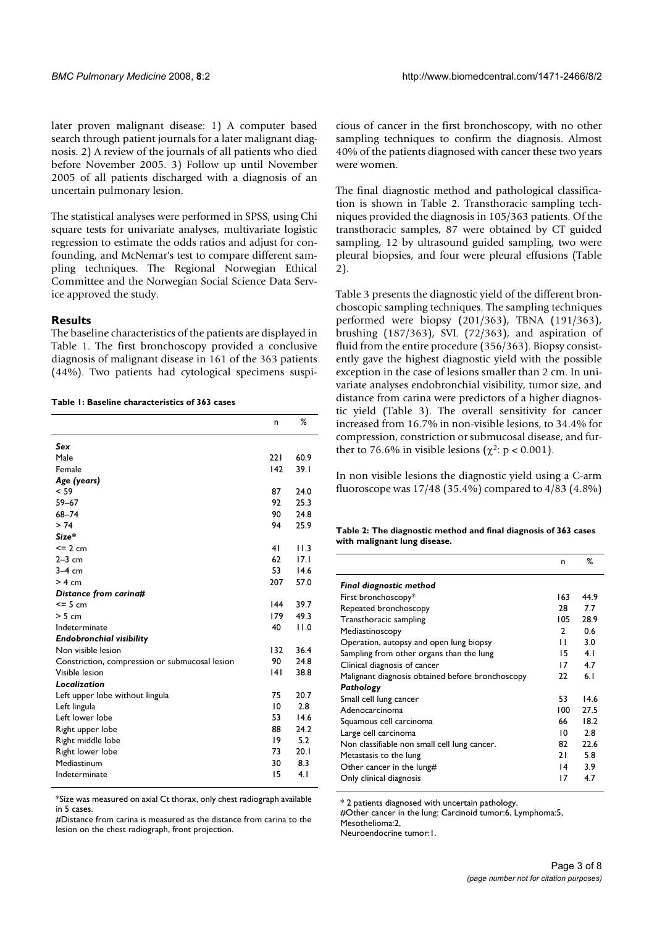later proven malignant disease: 1) A computer based search through patient journals for a later malignant diagnosis. 2) A review of the journals of all patients who died before November 2005. 3) Follow up until November 2005 of all patients discharged with a diagnosis of an uncertain pulmonary lesion.

The statistical analyses were performed in SPSS, using Chi square tests for univariate analyses, multivariate logistic regression to estimate the odds ratios and adjust for confounding, and McNemar's test to compare different sampling techniques. The Regional Norwegian Ethical Committee and the Norwegian Social Science Data Service approved the study.

#### **Results**

The baseline characteristics of the patients are displayed in Table 1. The first bronchoscopy provided a conclusive diagnosis of malignant disease in 161 of the 363 patients (44%). Two patients had cytological specimens suspi-

#### **Table 1: Baseline characteristics of 363 cases**

|                                                | n               | %    |
|------------------------------------------------|-----------------|------|
| Sex                                            |                 |      |
| Male                                           | 221             | 60.9 |
| Female                                         | 142             | 39.1 |
| Age (years)                                    |                 |      |
| < 59                                           | 87              | 24.0 |
| $59 - 67$                                      | 97              | 25.3 |
| 68-74                                          | 90              | 24.8 |
| > 74                                           | 94              | 25.9 |
| $Size*$                                        |                 |      |
| $\leq$ 2 cm                                    | 41              | 11.3 |
| $2-3$ cm                                       | 62              | 17.1 |
| $3-4$ cm                                       | 53              | 14.6 |
| > 4 cm                                         | 207             | 57.0 |
| Distance from carina#                          |                 |      |
| $<$ = 5 cm                                     | 144             | 39.7 |
| > 5 cm                                         | 179             | 49.3 |
| Indeterminate                                  | 40              | 11.0 |
| Endobronchial visibility                       |                 |      |
| Non visible lesion                             | 132             | 36.4 |
| Constriction, compression or submucosal lesion | 90              | 24.8 |
| Visible lesion                                 | 4               | 38.8 |
| Localization                                   |                 |      |
| Left upper lobe without lingula                | 75              | 20.7 |
| Left lingula                                   | $\overline{10}$ | 2.8  |
| Left lower lobe                                | 53              | 14.6 |
| Right upper lobe                               | 88              | 24.2 |
| Right middle lobe                              | 19              | 5.2  |
| Right lower lobe                               | 73              | 20.1 |
| Mediastinum                                    | 30              | 8.3  |
| Indeterminate                                  | 15              | 4.1  |
|                                                |                 |      |

\*Size was measured on axial Ct thorax, only chest radiograph available in 5 cases.

#Distance from carina is measured as the distance from carina to the lesion on the chest radiograph, front projection.

cious of cancer in the first bronchoscopy, with no other sampling techniques to confirm the diagnosis. Almost 40% of the patients diagnosed with cancer these two years were women.

The final diagnostic method and pathological classification is shown in Table 2. Transthoracic sampling techniques provided the diagnosis in 105/363 patients. Of the transthoracic samples, 87 were obtained by CT guided sampling, 12 by ultrasound guided sampling, two were pleural biopsies, and four were pleural effusions (Table 2).

Table 3 presents the diagnostic yield of the different bronchoscopic sampling techniques. The sampling techniques performed were biopsy (201/363), TBNA (191/363), brushing (187/363), SVL (72/363), and aspiration of fluid from the entire procedure (356/363). Biopsy consistently gave the highest diagnostic yield with the possible exception in the case of lesions smaller than 2 cm. In univariate analyses endobronchial visibility, tumor size, and distance from carina were predictors of a higher diagnostic yield (Table 3). The overall sensitivity for cancer increased from 16.7% in non-visible lesions, to 34.4% for compression, constriction or submucosal disease, and further to 76.6% in visible lesions ( $\chi^2$ : p < 0.001).

In non visible lesions the diagnostic yield using a C-arm fluoroscope was 17/48 (35.4%) compared to 4/83 (4.8%)

**Table 2: The diagnostic method and final diagnosis of 363 cases with malignant lung disease.**

|                                                  | n               | %    |
|--------------------------------------------------|-----------------|------|
| Final diagnostic method                          |                 |      |
| First bronchoscopy*                              | 163             | 44.9 |
| Repeated bronchoscopy                            | 28              | 7.7  |
| Transthoracic sampling                           | 105             | 28.9 |
| Mediastinoscopy                                  | $\mathbf{c}$    | 0.6  |
| Operation, autopsy and open lung biopsy          | Н               | 3.0  |
| Sampling from other organs than the lung         | 15              | 4.1  |
| Clinical diagnosis of cancer                     | 17              | 4.7  |
| Malignant diagnosis obtained before bronchoscopy | 22              | 6.1  |
| Pathology                                        |                 |      |
| Small cell lung cancer                           | 53              | 14.6 |
| Adenocarcinoma                                   | 100             | 27.5 |
| Squamous cell carcinoma                          | 66              | 18.2 |
| Large cell carcinoma                             | 10              | 2.8  |
| Non classifiable non small cell lung cancer.     | 82              | 22.6 |
| Metastasis to the lung                           | 21              | 5.8  |
| Other cancer in the lung#                        | $\overline{14}$ | 3.9  |
| Only clinical diagnosis                          | 17              | 4.7  |

\* 2 patients diagnosed with uncertain pathology.

#Other cancer in the lung: Carcinoid tumor:6, Lymphoma:5,

Mesothelioma: 2

Neuroendocrine tumor:1.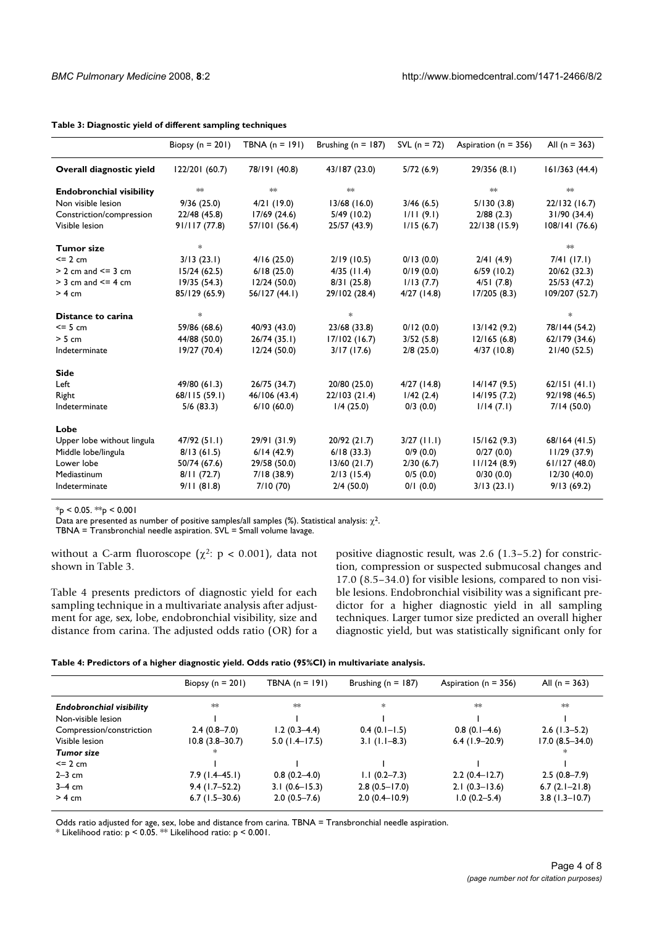|                                 | Biopsy ( $n = 201$ ) | TBNA $(n = 191)$ | Brushing ( $n = 187$ ) | SVL $(n = 72)$ | Aspiration ( $n = 356$ ) | All $(n = 363)$ |
|---------------------------------|----------------------|------------------|------------------------|----------------|--------------------------|-----------------|
| Overall diagnostic yield        | 122/201 (60.7)       | 78/191 (40.8)    | 43/187 (23.0)          | 5/72(6.9)      | 29/356 (8.1)             | 161/363(44.4)   |
| <b>Endobronchial visibility</b> | abc                  | $*$              | skoje                  |                | slok:                    | sjoje           |
| Non visible lesion              | 9/36(25.0)           | 4/21(19.0)       | 13/68(16.0)            | 3/46(6.5)      | 5/130(3.8)               | 22/132 (16.7)   |
| Constriction/compression        | 22/48 (45.8)         | 17/69(24.6)      | $5/49$ (10.2)          | 1/11(9.1)      | 2/88(2.3)                | 31/90 (34.4)    |
| Visible lesion                  | 91/117(77.8)         | 57/101 (56.4)    | 25/57 (43.9)           | 1/15(6.7)      | 22/138 (15.9)            | 108/141 (76.6)  |
| <b>Tumor size</b>               | *                    |                  |                        |                |                          | :k              |
| $= 2$ cm                        | 3/13(23.1)           | 4/16(25.0)       | 2/19(10.5)             | 0/13(0.0)      | 2/41(4.9)                | $7/4$ (17.1)    |
| $> 2$ cm and $\leq 3$ cm        | 15/24(62.5)          | 6/18(25.0)       | $4/35$ (11.4)          | 0/19(0.0)      | 6/59(10.2)               | 20/62 (32.3)    |
| $>$ 3 cm and $\leq$ 4 cm        | 19/35(54.3)          | 12/24(50.0)      | $8/3$ (25.8)           | 1/13(7.7)      | 4/51(7.8)                | 25/53 (47.2)    |
| $> 4$ cm                        | 85/129 (65.9)        | 56/127 (44.1)    | 29/102 (28.4)          | $4/27$ (14.8)  | 17/205(8.3)              | 109/207 (52.7)  |
| Distance to carina              | *                    |                  | $*$                    |                |                          | *               |
| $<= 5 cm$                       | 59/86 (68.6)         | 40/93 (43.0)     | 23/68 (33.8)           | 0/12(0.0)      | 13/142(9.2)              | 78/144 (54.2)   |
| $> 5$ cm                        | 44/88 (50.0)         | 26/74(35.1)      | 17/102(16.7)           | 3/52(5.8)      | 12/165(6.8)              | 62/179 (34.6)   |
| Indeterminate                   | 19/27 (70.4)         | 12/24(50.0)      | 3/17(17.6)             | 2/8(25.0)      | 4/37(10.8)               | 21/40 (52.5)    |
| Side                            |                      |                  |                        |                |                          |                 |
| Left                            | 49/80 (61.3)         | 26/75 (34.7)     | 20/80 (25.0)           | $4/27$ (14.8)  | 14/147(9.5)              | 62/151(41.1)    |
| Right                           | 68/115 (59.1)        | 46/106 (43.4)    | 22/103 (21.4)          | 1/42(2.4)      | 14/195(7.2)              | 92/198 (46.5)   |
| Indeterminate                   | $5/6$ (83.3)         | 6/10(60.0)       | 1/4(25.0)              | $0/3$ (0.0)    | 1/14(7.1)                | 7/14(50.0)      |
| Lobe                            |                      |                  |                        |                |                          |                 |
| Upper lobe without lingula      | 47/92 (51.1)         | 29/91 (31.9)     | 20/92 (21.7)           | $3/27$ (11.1)  | 15/162(9.3)              | 68/164 (41.5)   |
| Middle lobe/lingula             | 8/13(61.5)           | 6/14(42.9)       | 6/18(33.3)             | 0/9(0.0)       | 0/27(0.0)                | 11/29(37.9)     |
| Lower lobe                      | 50/74 (67.6)         | 29/58 (50.0)     | 13/60(21.7)            | 2/30(6.7)      | 11/124(8.9)              | 61/127(48.0)    |
| Mediastinum                     | 8/11(72.7)           | 7/18(38.9)       | $2/13$ (15.4)          | 0/5(0.0)       | 0/30(0.0)                | 12/30 (40.0)    |
| Indeterminate                   | 9/11(81.8)           | 7/10(70)         | $2/4$ (50.0)           | $0/1$ (0.0)    | 3/13(23.1)               | 9/13(69.2)      |

#### **Table 3: Diagnostic yield of different sampling techniques**

 $*_{p}$  < 0.05.  $*_{p}$  < 0.001

Data are presented as number of positive samples/all samples (%). Statistical analysis:  $\chi^2$ .

TBNA = Transbronchial needle aspiration. SVL = Small volume lavage.

without a C-arm fluoroscope ( $\chi^2$ : p < 0.001), data not shown in Table 3.

Table 4 presents predictors of diagnostic yield for each sampling technique in a multivariate analysis after adjustment for age, sex, lobe, endobronchial visibility, size and distance from carina. The adjusted odds ratio (OR) for a positive diagnostic result, was 2.6 (1.3–5.2) for constriction, compression or suspected submucosal changes and 17.0 (8.5–34.0) for visible lesions, compared to non visible lesions. Endobronchial visibility was a significant predictor for a higher diagnostic yield in all sampling techniques. Larger tumor size predicted an overall higher diagnostic yield, but was statistically significant only for

| Table 4: Predictors of a higher diagnostic yield. Odds ratio (95%CI) in multivariate analysis. |  |  |
|------------------------------------------------------------------------------------------------|--|--|
|                                                                                                |  |  |

|                                 | Biopsy ( $n = 201$ ) | TBNA $(n = 191)$  | Brushing ( $n = 187$ )            | Aspiration ( $n = 356$ ) | All $(n = 363)$    |
|---------------------------------|----------------------|-------------------|-----------------------------------|--------------------------|--------------------|
| <b>Endobronchial visibility</b> | :k                   | skok              | $\frac{d\mathbf{x}}{d\mathbf{x}}$ | sick.                    | abc                |
| Non-visible lesion              |                      |                   |                                   |                          |                    |
| Compression/constriction        | $2.4(0.8 - 7.0)$     | $1.2(0.3-4.4)$    | $0.4(0.1 - 1.5)$                  | $0.8(0.1-4.6)$           | $2.6$ (1.3–5.2)    |
| Visible lesion                  | $10.8(3.8 - 30.7)$   | $5.0$ (1.4–17.5)  | $3.1$ (1.1–8.3)                   | $6.4$ (1.9-20.9)         | $17.0(8.5 - 34.0)$ |
| Tumor size                      | 水                    |                   |                                   |                          |                    |
| $\leq$ 2 cm                     |                      |                   |                                   |                          |                    |
| $2-3$ cm                        | $7.9(1.4-45.1)$      | $0.8(0.2 - 4.0)$  | $1.1(0.2 - 7.3)$                  | $2.2(0.4-12.7)$          | $2.5(0.8-7.9)$     |
| $3-4$ cm                        | $9.4(1.7-52.2)$      | $3.1(0.6 - 15.3)$ | $2.8(0.5 - 17.0)$                 | $2.1(0.3-13.6)$          | $6.7(2.1 - 21.8)$  |
| $> 4 \text{ cm}$                | $6.7(1.5-30.6)$      | $2.0(0.5 - 7.6)$  | $2.0(0.4-10.9)$                   | $1.0(0.2 - 5.4)$         | $3.8$ (1.3-10.7)   |

Odds ratio adjusted for age, sex, lobe and distance from carina. TBNA = Transbronchial needle aspiration.

\* Likelihood ratio:  $p < 0.05$ . \*\* Likelihood ratio:  $p < 0.001$ .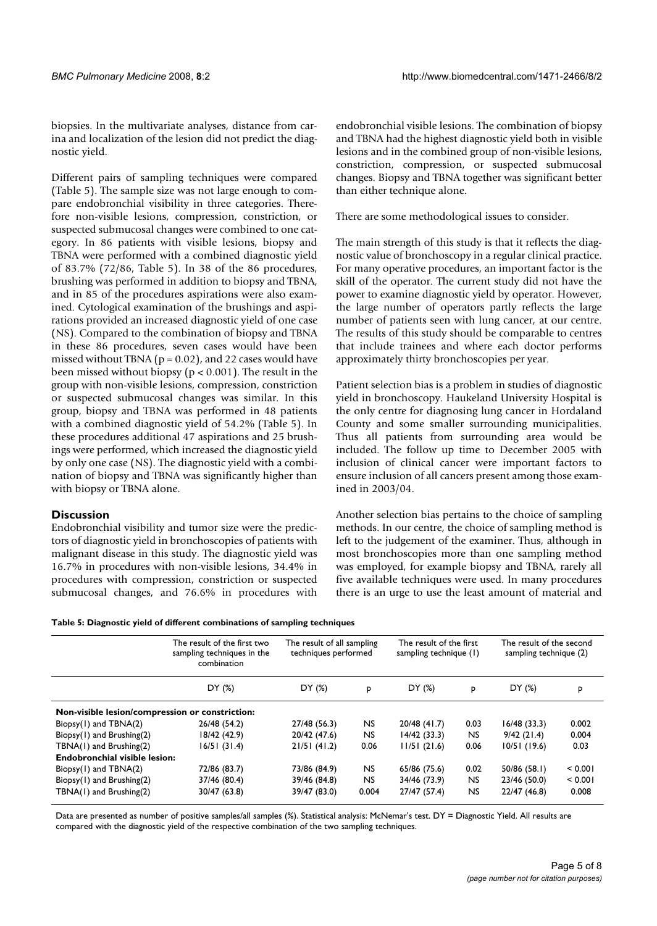biopsies. In the multivariate analyses, distance from carina and localization of the lesion did not predict the diagnostic yield.

Different pairs of sampling techniques were compared (Table 5). The sample size was not large enough to compare endobronchial visibility in three categories. Therefore non-visible lesions, compression, constriction, or suspected submucosal changes were combined to one category. In 86 patients with visible lesions, biopsy and TBNA were performed with a combined diagnostic yield of 83.7% (72/86, Table 5). In 38 of the 86 procedures, brushing was performed in addition to biopsy and TBNA, and in 85 of the procedures aspirations were also examined. Cytological examination of the brushings and aspirations provided an increased diagnostic yield of one case (NS). Compared to the combination of biopsy and TBNA in these 86 procedures, seven cases would have been missed without TBNA ( $p = 0.02$ ), and 22 cases would have been missed without biopsy (p < 0.001). The result in the group with non-visible lesions, compression, constriction or suspected submucosal changes was similar. In this group, biopsy and TBNA was performed in 48 patients with a combined diagnostic yield of 54.2% (Table 5). In these procedures additional 47 aspirations and 25 brushings were performed, which increased the diagnostic yield by only one case (NS). The diagnostic yield with a combination of biopsy and TBNA was significantly higher than with biopsy or TBNA alone.

#### **Discussion**

Endobronchial visibility and tumor size were the predictors of diagnostic yield in bronchoscopies of patients with malignant disease in this study. The diagnostic yield was 16.7% in procedures with non-visible lesions, 34.4% in procedures with compression, constriction or suspected submucosal changes, and 76.6% in procedures with endobronchial visible lesions. The combination of biopsy and TBNA had the highest diagnostic yield both in visible lesions and in the combined group of non-visible lesions, constriction, compression, or suspected submucosal changes. Biopsy and TBNA together was significant better than either technique alone.

There are some methodological issues to consider.

The main strength of this study is that it reflects the diagnostic value of bronchoscopy in a regular clinical practice. For many operative procedures, an important factor is the skill of the operator. The current study did not have the power to examine diagnostic yield by operator. However, the large number of operators partly reflects the large number of patients seen with lung cancer, at our centre. The results of this study should be comparable to centres that include trainees and where each doctor performs approximately thirty bronchoscopies per year.

Patient selection bias is a problem in studies of diagnostic yield in bronchoscopy. Haukeland University Hospital is the only centre for diagnosing lung cancer in Hordaland County and some smaller surrounding municipalities. Thus all patients from surrounding area would be included. The follow up time to December 2005 with inclusion of clinical cancer were important factors to ensure inclusion of all cancers present among those examined in 2003/04.

Another selection bias pertains to the choice of sampling methods. In our centre, the choice of sampling method is left to the judgement of the examiner. Thus, although in most bronchoscopies more than one sampling method was employed, for example biopsy and TBNA, rarely all five available techniques were used. In many procedures there is an urge to use the least amount of material and

| Table 5: Diagnostic yield of different combinations of sampling techniques |  |
|----------------------------------------------------------------------------|--|
|----------------------------------------------------------------------------|--|

|                                                 | The result of the first two<br>sampling techniques in the<br>combination<br>DY (%) | The result of all sampling<br>techniques performed |           | The result of the first<br>sampling technique (1) |           | The result of the second<br>sampling technique (2) |         |
|-------------------------------------------------|------------------------------------------------------------------------------------|----------------------------------------------------|-----------|---------------------------------------------------|-----------|----------------------------------------------------|---------|
|                                                 |                                                                                    | DY (%)                                             | p         | DY (%)                                            | p         | DY (%)                                             | P       |
| Non-visible lesion/compression or constriction: |                                                                                    |                                                    |           |                                                   |           |                                                    |         |
| $Biopsy(1)$ and $TBNA(2)$                       | 26/48 (54.2)                                                                       | 27/48 (56.3)                                       | <b>NS</b> | 20/48 (41.7)                                      | 0.03      | 16/48(33.3)                                        | 0.002   |
| Biopsy(1) and Brushing(2)                       | 18/42 (42.9)                                                                       | 20/42 (47.6)                                       | <b>NS</b> | 14/42(33.3)                                       | <b>NS</b> | 9/42(21.4)                                         | 0.004   |
| TBNA(1) and Brushing(2)                         | 16/51(31.4)                                                                        | 21/51(41.2)                                        | 0.06      | 11/51(21.6)                                       | 0.06      | 10/51(19.6)                                        | 0.03    |
| Endobronchial visible lesion:                   |                                                                                    |                                                    |           |                                                   |           |                                                    |         |
| Biopsy(1) and TBNA(2)                           | 72/86 (83.7)                                                                       | 73/86 (84.9)                                       | <b>NS</b> | 65/86 (75.6)                                      | 0.02      | 50/86 (58.1)                                       | < 0.001 |
| Biopsy(1) and Brushing(2)                       | 37/46 (80.4)                                                                       | 39/46 (84.8)                                       | <b>NS</b> | 34/46 (73.9)                                      | <b>NS</b> | 23/46 (50.0)                                       | < 0.001 |
| TBNA(1) and Brushing(2)                         | 30/47 (63.8)                                                                       | 39/47 (83.0)                                       | 0.004     | 27/47 (57.4)                                      | NS.       | 22/47 (46.8)                                       | 0.008   |

Data are presented as number of positive samples/all samples (%). Statistical analysis: McNemar's test. DY = Diagnostic Yield. All results are compared with the diagnostic yield of the respective combination of the two sampling techniques.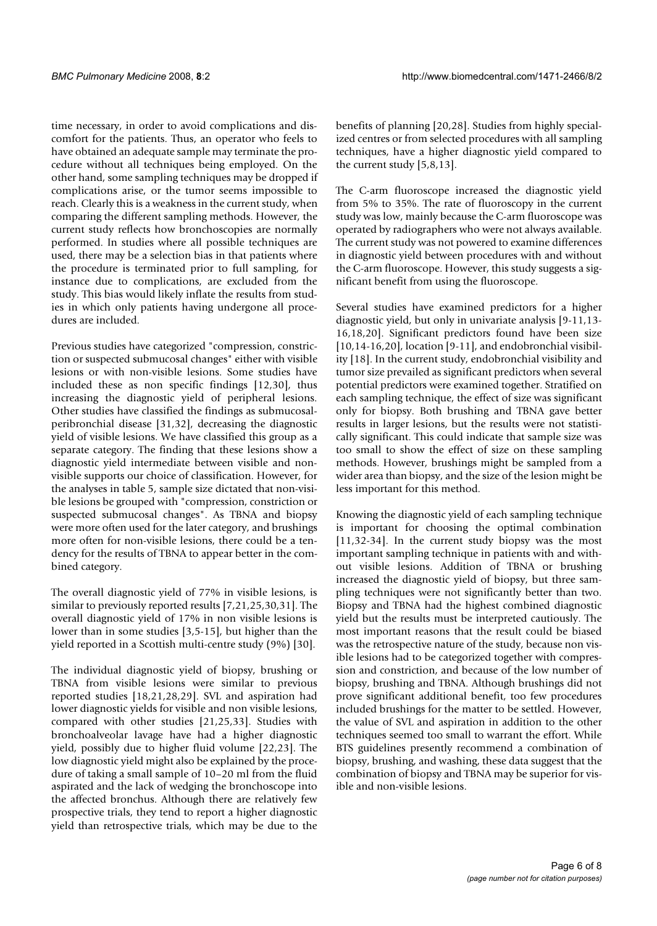time necessary, in order to avoid complications and discomfort for the patients. Thus, an operator who feels to have obtained an adequate sample may terminate the procedure without all techniques being employed. On the other hand, some sampling techniques may be dropped if complications arise, or the tumor seems impossible to reach. Clearly this is a weakness in the current study, when comparing the different sampling methods. However, the current study reflects how bronchoscopies are normally performed. In studies where all possible techniques are used, there may be a selection bias in that patients where the procedure is terminated prior to full sampling, for instance due to complications, are excluded from the study. This bias would likely inflate the results from studies in which only patients having undergone all procedures are included.

Previous studies have categorized "compression, constriction or suspected submucosal changes" either with visible lesions or with non-visible lesions. Some studies have included these as non specific findings [12,30], thus increasing the diagnostic yield of peripheral lesions. Other studies have classified the findings as submucosalperibronchial disease [31,32], decreasing the diagnostic yield of visible lesions. We have classified this group as a separate category. The finding that these lesions show a diagnostic yield intermediate between visible and nonvisible supports our choice of classification. However, for the analyses in table 5, sample size dictated that non-visible lesions be grouped with "compression, constriction or suspected submucosal changes". As TBNA and biopsy were more often used for the later category, and brushings more often for non-visible lesions, there could be a tendency for the results of TBNA to appear better in the combined category.

The overall diagnostic yield of 77% in visible lesions, is similar to previously reported results [7,21,25,30,31]. The overall diagnostic yield of 17% in non visible lesions is lower than in some studies [3,5-15], but higher than the yield reported in a Scottish multi-centre study (9%) [30].

The individual diagnostic yield of biopsy, brushing or TBNA from visible lesions were similar to previous reported studies [18,21,28,29]. SVL and aspiration had lower diagnostic yields for visible and non visible lesions, compared with other studies [21,25,33]. Studies with bronchoalveolar lavage have had a higher diagnostic yield, possibly due to higher fluid volume [22,23]. The low diagnostic yield might also be explained by the procedure of taking a small sample of 10–20 ml from the fluid aspirated and the lack of wedging the bronchoscope into the affected bronchus. Although there are relatively few prospective trials, they tend to report a higher diagnostic yield than retrospective trials, which may be due to the

benefits of planning [20,28]. Studies from highly specialized centres or from selected procedures with all sampling techniques, have a higher diagnostic yield compared to the current study [5,8,13].

The C-arm fluoroscope increased the diagnostic yield from 5% to 35%. The rate of fluoroscopy in the current study was low, mainly because the C-arm fluoroscope was operated by radiographers who were not always available. The current study was not powered to examine differences in diagnostic yield between procedures with and without the C-arm fluoroscope. However, this study suggests a significant benefit from using the fluoroscope.

Several studies have examined predictors for a higher diagnostic yield, but only in univariate analysis [9-11,13- 16,18,20]. Significant predictors found have been size [10,14-16,20], location [9-11], and endobronchial visibility [18]. In the current study, endobronchial visibility and tumor size prevailed as significant predictors when several potential predictors were examined together. Stratified on each sampling technique, the effect of size was significant only for biopsy. Both brushing and TBNA gave better results in larger lesions, but the results were not statistically significant. This could indicate that sample size was too small to show the effect of size on these sampling methods. However, brushings might be sampled from a wider area than biopsy, and the size of the lesion might be less important for this method.

Knowing the diagnostic yield of each sampling technique is important for choosing the optimal combination [11,32-34]. In the current study biopsy was the most important sampling technique in patients with and without visible lesions. Addition of TBNA or brushing increased the diagnostic yield of biopsy, but three sampling techniques were not significantly better than two. Biopsy and TBNA had the highest combined diagnostic yield but the results must be interpreted cautiously. The most important reasons that the result could be biased was the retrospective nature of the study, because non visible lesions had to be categorized together with compression and constriction, and because of the low number of biopsy, brushing and TBNA. Although brushings did not prove significant additional benefit, too few procedures included brushings for the matter to be settled. However, the value of SVL and aspiration in addition to the other techniques seemed too small to warrant the effort. While BTS guidelines presently recommend a combination of biopsy, brushing, and washing, these data suggest that the combination of biopsy and TBNA may be superior for visible and non-visible lesions.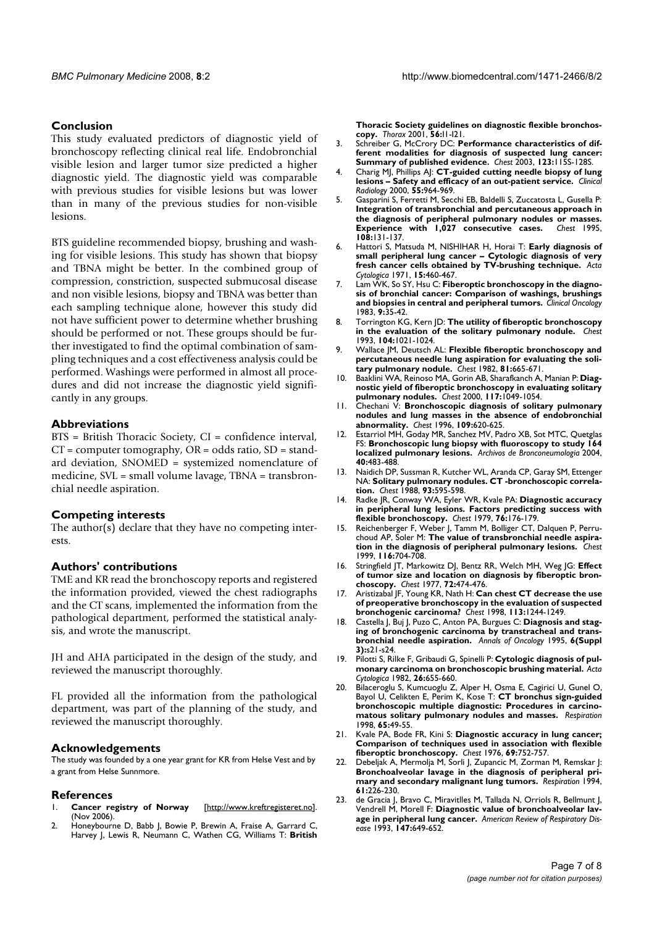#### **Conclusion**

This study evaluated predictors of diagnostic yield of bronchoscopy reflecting clinical real life. Endobronchial visible lesion and larger tumor size predicted a higher diagnostic yield. The diagnostic yield was comparable with previous studies for visible lesions but was lower than in many of the previous studies for non-visible lesions.

BTS guideline recommended biopsy, brushing and washing for visible lesions. This study has shown that biopsy and TBNA might be better. In the combined group of compression, constriction, suspected submucosal disease and non visible lesions, biopsy and TBNA was better than each sampling technique alone, however this study did not have sufficient power to determine whether brushing should be performed or not. These groups should be further investigated to find the optimal combination of sampling techniques and a cost effectiveness analysis could be performed. Washings were performed in almost all procedures and did not increase the diagnostic yield significantly in any groups.

#### **Abbreviations**

BTS = British Thoracic Society, CI = confidence interval,  $CT = computer tomography, OR = odds ratio, SD = stand$ ard deviation, SNOMED = systemized nomenclature of medicine, SVL = small volume lavage, TBNA = transbronchial needle aspiration.

#### **Competing interests**

The author(s) declare that they have no competing interests.

#### **Authors' contributions**

TME and KR read the bronchoscopy reports and registered the information provided, viewed the chest radiographs and the CT scans, implemented the information from the pathological department, performed the statistical analysis, and wrote the manuscript.

JH and AHA participated in the design of the study, and reviewed the manuscript thoroughly.

FL provided all the information from the pathological department, was part of the planning of the study, and reviewed the manuscript thoroughly.

#### **Acknowledgements**

The study was founded by a one year grant for KR from Helse Vest and by a grant from Helse Sunnmore.

#### **References**

- 1. **Cancer registry of Norway** [http://www.kreftregisteret.no]. (Nov 2006).
- Honeybourne D, Babb J, Bowie P, Brewin A, Fraise A, Garrard C, Harvey J, Lewis R, Neumann C, Wathen CG, Williams T: **British**

**Thoracic Society guidelines on diagnostic flexible bronchos-copy.** *Thorax* 2001, **56:**I1-I21.

- 3. Schreiber G, McCrory DC: **Performance characteristics of different modalities for diagnosis of suspected lung cancer: Summary of published evidence.** *Chest* 2003, **123:**115S-128S.
- 4. Charig MJ, Phillips AJ: **CT-guided cutting needle biopsy of lung lesions – Safety and efficacy of an out-patient service.** *Clinical Radiology* 2000, **55:**964-969.
- 5. Gasparini S, Ferretti M, Secchi EB, Baldelli S, Zuccatosta L, Gusella P: **Integration of transbronchial and percutaneous approach in the diagnosis of peripheral pulmonary nodules or masses. Experience with 1,027 consecutive cases. 108:**131-137.
- 6. Hattori S, Matsuda M, NISHIHAR H, Horai T: **Early diagnosis of small peripheral lung cancer – Cytologic diagnosis of very fresh cancer cells obtained by TV-brushing technique.** *Acta Cytologica* 1971, **15:**460-467.
- 7. Lam WK, So SY, Hsu C: **Fiberoptic bronchoscopy in the diagnosis of bronchial cancer: Comparison of washings, brushings and biopsies in central and peripheral tumors.** *Clinical Oncology* 1983, **9:**35-42.
- 8. Torrington KG, Kern JD: **The utility of fiberoptic bronchoscopy in the evaluation of the solitary pulmonary nodule.** *Chest* 1993, **104:**1021-1024.
- 9. Wallace JM, Deutsch AL: **Flexible fiberoptic bronchoscopy and percutaneous needle lung aspiration for evaluating the solitary pulmonary nodule.** *Chest* 1982, **81:**665-671.
- 10. Baaklini WA, Reinoso MA, Gorin AB, Sharafkanch A, Manian P: **Diagnostic yield of fiberoptic bronchoscopy in evaluating solitary**
- **pulmonary nodules.** *Chest* 2000, **117:**1049-1054. 11. Chechani V: **Bronchoscopic diagnosis of solitary pulmonary nodules and lung masses in the absence of endobronchial abnormality.** *Chest* 1996, **109:**620-625.
- 12. Estarriol MH, Goday MR, Sanchez MV, Padro XB, Sot MTC, Quetglas FS: **Bronchoscopic lung biopsy with fluoroscopy to study 164 localized pulmonary lesions.** *Archivos de Bronconeumologia* 2004, **40:**483-488.
- 13. Naidich DP, Sussman R, Kutcher WL, Aranda CP, Garay SM, Ettenger NA: **Solitary pulmonary nodules. CT -bronchoscopic correlation.** *Chest* 1988, **93:**595-598.
- 14. Radke JR, Conway WA, Eyler WR, Kvale PA: **Diagnostic accuracy in peripheral lung lesions. Factors predicting success with flexible bronchoscopy.** *Chest* 1979, **76:**176-179.
- Reichenberger F, Weber J, Tamm M, Bolliger CT, Dalquen P, Perruchoud AP, Soler M: **The value of transbronchial needle aspiration in the diagnosis of peripheral pulmonary lesions.** *Chest* 1999, **116:**704-708.
- 16. Stringfield JT, Markowitz DJ, Bentz RR, Welch MH, Weg JG: **Effect of tumor size and location on diagnosis by fiberoptic bronchoscopy.** *Chest* 1977, **72:**474-476.
- 17. Aristizabal JF, Young KR, Nath H: **Can chest CT decrease the use of preoperative bronchoscopy in the evaluation of suspected bronchogenic carcinoma?** *Chest* 1998, **113:**1244-1249.
- 18. Castella J, Buj J, Puzo C, Anton PA, Burgues C: **Diagnosis and staging of bronchogenic carcinoma by transtracheal and transbronchial needle aspiration.** *Annals of Oncology* 1995, **6(Suppl 3):**s21-s24.
- 19. Pilotti S, Rilke F, Gribaudi G, Spinelli P: **Cytologic diagnosis of pulmonary carcinoma on bronchoscopic brushing material.** *Acta Cytologica* 1982, **26:**655-660.
- 20. Bilaceroglu S, Kumcuoglu Z, Alper H, Osma E, Cagirici U, Gunel O, Bayol U, Celikten E, Perim K, Kose T: **CT bronchus sign-guided bronchoscopic multiple diagnostic: Procedures in carcinomatous solitary pulmonary nodules and masses.** *Respiration* 1998, **65:**49-55.
- 21. Kvale PA, Bode FR, Kini S: **Diagnostic accuracy in lung cancer; Comparison of techniques used in association with flexible**
- **fiberoptic bronchoscopy.** *Chest* 1976, **69:**752-757. 22. Debeljak A, Mermolja M, Sorli J, Zupancic M, Zorman M, Remskar J: **Bronchoalveolar lavage in the diagnosis of peripheral primary and secondary malignant lung tumors.** *Respiration* 1994, **61:**226-230.
- 23. de Gracia J, Bravo C, Miravitlles M, Tallada N, Orriols R, Bellmunt J, Vendrell M, Morell F: **Diagnostic value of bronchoalveolar lavage in peripheral lung cancer.** *American Review of Respiratory Disease* 1993, **147:**649-652.